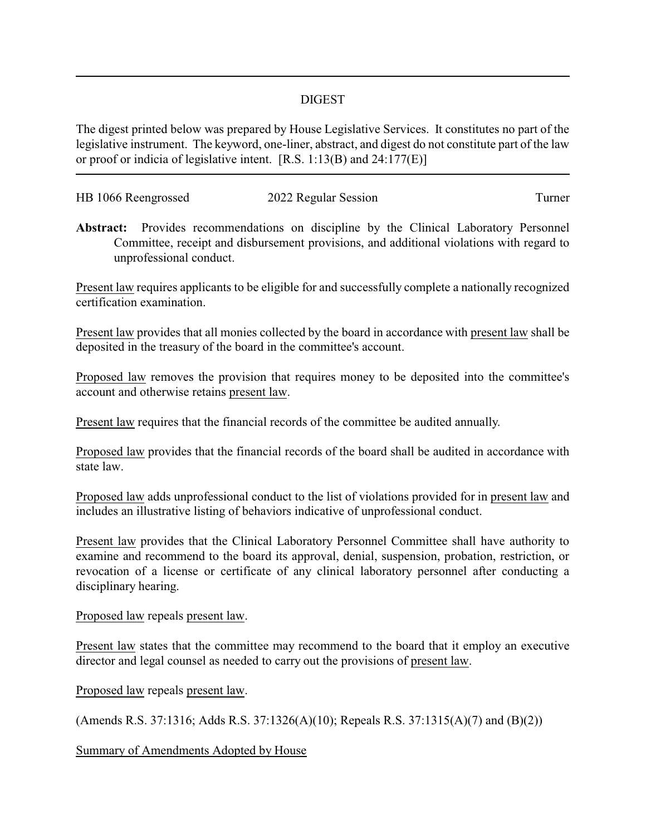## DIGEST

The digest printed below was prepared by House Legislative Services. It constitutes no part of the legislative instrument. The keyword, one-liner, abstract, and digest do not constitute part of the law or proof or indicia of legislative intent. [R.S. 1:13(B) and 24:177(E)]

| HB 1066 Reengrossed | 2022 Regular Session | l urner |
|---------------------|----------------------|---------|
|                     |                      |         |

**Abstract:** Provides recommendations on discipline by the Clinical Laboratory Personnel Committee, receipt and disbursement provisions, and additional violations with regard to unprofessional conduct.

Present law requires applicants to be eligible for and successfully complete a nationally recognized certification examination.

Present law provides that all monies collected by the board in accordance with present law shall be deposited in the treasury of the board in the committee's account.

Proposed law removes the provision that requires money to be deposited into the committee's account and otherwise retains present law.

Present law requires that the financial records of the committee be audited annually.

Proposed law provides that the financial records of the board shall be audited in accordance with state law.

Proposed law adds unprofessional conduct to the list of violations provided for in present law and includes an illustrative listing of behaviors indicative of unprofessional conduct.

Present law provides that the Clinical Laboratory Personnel Committee shall have authority to examine and recommend to the board its approval, denial, suspension, probation, restriction, or revocation of a license or certificate of any clinical laboratory personnel after conducting a disciplinary hearing.

## Proposed law repeals present law.

Present law states that the committee may recommend to the board that it employ an executive director and legal counsel as needed to carry out the provisions of present law.

Proposed law repeals present law.

(Amends R.S. 37:1316; Adds R.S. 37:1326(A)(10); Repeals R.S. 37:1315(A)(7) and (B)(2))

Summary of Amendments Adopted by House